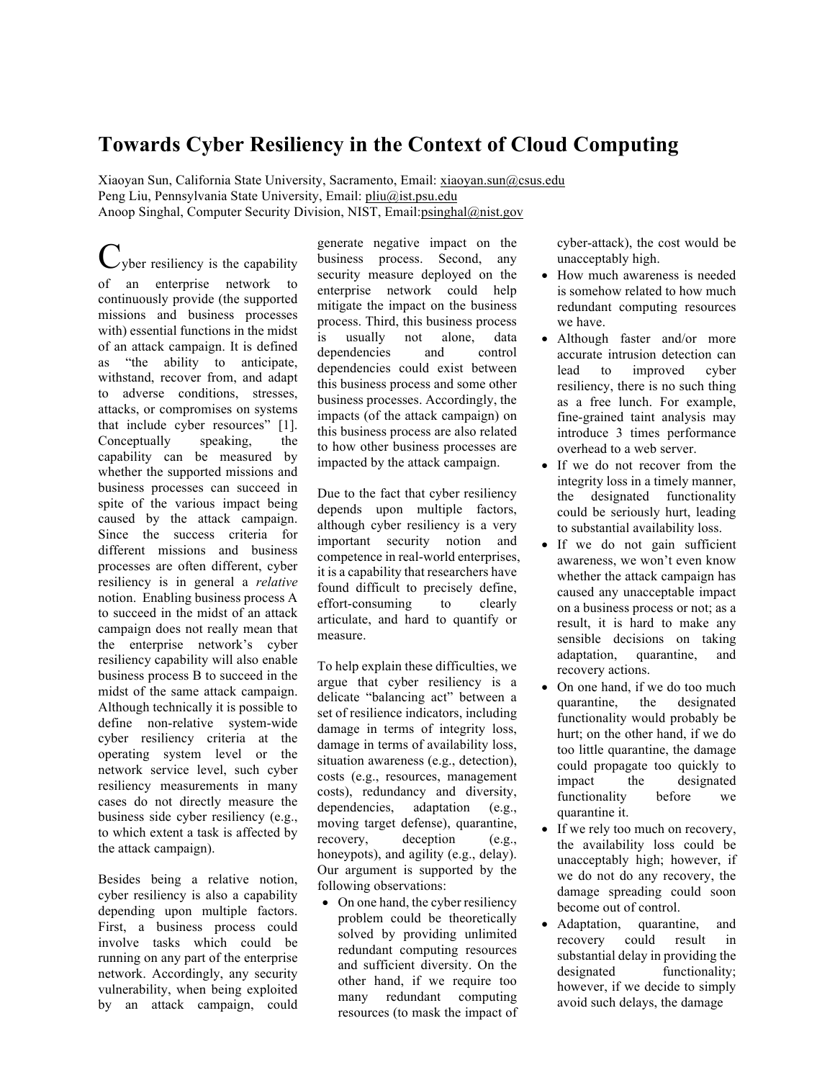# **Towards Cyber Resiliency in the Context of Cloud Computing**

Xiaoyan Sun, California State University, Sacramento, Email: xiaoyan.sun@csus.edu Peng Liu, Pennsylvania State University, Email: pliu@ist.psu.edu Anoop Singhal, Computer Security Division, NIST, Email: psinghal@nist.gov

 $C_{\text{yber}}$  resiliency is the capability missions and business processes with) essential functions in the midst of an attack campaign. It is defined as "the ability to anticipate, withstand, recover from, and adapt to adverse conditions, stresses, attacks, or compromises on systems that include cyber resources" [1]. speaking, capability can be measured by whether the supported missions and business processes can succeed in spite of the various impact being caused by the attack campaign. caused by the attack campaign. Since the success criteria for different missions and business processes are often different, cyber resiliency is in general a *relative*  notion. Enabling business process A to succeed in the midst of an attack campaign does not really mean that the enterprise network's cyber resiliency capability will also enable business process B to succeed in the midst of the same attack campaign. Although technically it is possible to cyber resiliency criteria at the operating system level or the network service level, such cyber resiliency measurements in many cases do not directly measure the business side cyber resiliency (e.g., to which extent a task is affected by of an enterprise network to continuously provide (the supported Conceptually speaking, the define non-relative system-wide the attack campaign).

 Besides being a relative notion, cyber resiliency is also a capability depending upon multiple factors. First, a business process could involve tasks which could be running on any part of the enterprise network. Accordingly, any security vulnerability, when being exploited by an attack campaign, could

 generate negative impact on the business process. Second, any security measure deployed on the enterprise network could help mitigate the impact on the business process. Third, this business process is this business process and some other business processes. Accordingly, the impacts (of the attack campaign) on this business process are also related to how other business processes are usually not alone, data dependencies and control dependencies could exist between impacted by the attack campaign.

 Due to the fact that cyber resiliency depends upon multiple factors, although cyber resiliency is a very important security notion and competence in real-world enterprises, it is a capability that researchers have found difficult to precisely define, effort-consuming to clearly articulate, and hard to quantify or measure.

 To help explain these difficulties, we argue that cyber resiliency is a delicate "balancing act" between a set of resilience indicators, including damage in terms of availability loss, situation awareness (e.g., detection), costs (e.g., resources, management costs), redundancy and diversity, moving target defense), quarantine, honeypots), and agility (e.g., delay). Our argument is supported by the damage in terms of integrity loss, dependencies, adaptation (e.g., recovery, deception (e.g., following observations:

• On one hand, the cyber resiliency problem could be theoretically solved by providing unlimited redundant computing resources and sufficient diversity. On the other hand, if we require too resources (to mask the impact of many redundant computing

 cyber-attack), the cost would be unacceptably high.

- • How much awareness is needed is somehow related to how much redundant computing resources we have.
- accurate intrusion detection can lead resiliency, there is no such thing as a free lunch. For example, fine-grained taint analysis may introduce 3 times performance overhead to a web server. • Although faster and/or more to improved cyber
- • If we do not recover from the integrity loss in a timely manner, could be seriously hurt, leading the designated functionality to substantial availability loss.
- • If we do not gain sufficient awareness, we won't even know whether the attack campaign has caused any unacceptable impact on a business process or not; as a result, it is hard to make any sensible decisions on taking adaptation, quarantine, and recovery actions.
- • On one hand, if we do too much quarantine, the designated functionality would probably be hurt; on the other hand, if we do too little quarantine, the damage could propagate too quickly to functionality before we quarantine it. impact the designated
- • If we rely too much on recovery, the availability loss could be unacceptably high; however, if we do not do any recovery, the become out of control. damage spreading could soon
- quarantine, recovery could result in substantial delay in providing the however, if we decide to simply avoid such delays, the damage • Adaptation, quarantine, and designated functionality;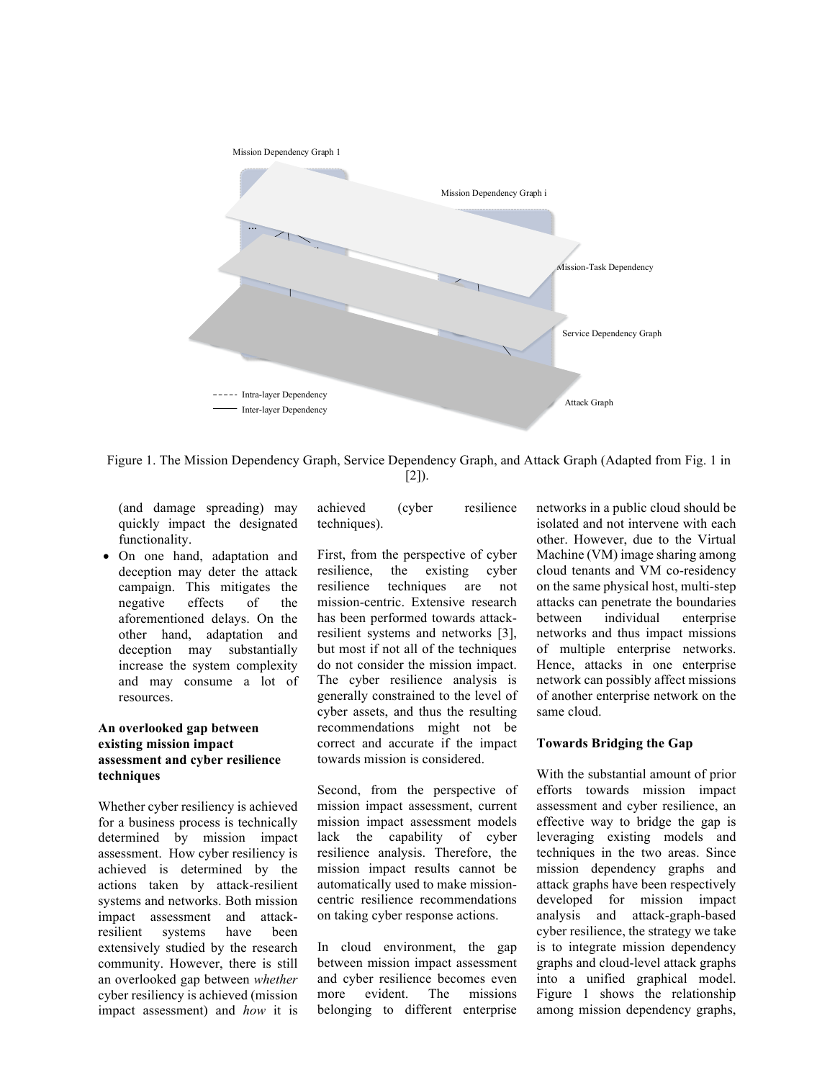

 Figure 1. The Mission Dependency Graph, Service Dependency Graph, and Attack Graph (Adapted from Fig. 1 in  $[2]$ ).

 (and damage spreading) may quickly impact the designated functionality.

 • On one hand, adaptation and deception may deter the attack campaign. This mitigates the <sub>of</sub> aforementioned delays. On the other hand, adaptation and increase the system complexity and may consume a lot of resources. negative effects of the deception may substantially

### **An overlooked gap between existing mission impact assessment and cyber resilience techniques**

 Whether cyber resiliency is achieved for a business process is technically assessment. How cyber resiliency is achieved is determined by the actions taken by attack-resilient systems and networks. Both mission resilient extensively studied by the research community. However, there is still an overlooked gap between *whether*  determined by mission impact impact assessment and attacksystems have been cyber resiliency is achieved (mission impact assessment) and *how* it is

achieved (cyber resilience techniques).

 First, from the perspective of cyber resilience, resilience techniques are not resilient systems and networks [3], but most if not all of the techniques do not consider the mission impact. The cyber resilience analysis is generally constrained to the level of cyber assets, and thus the resulting recommendations might not be correct and accurate if the impact towards mission is considered. the existing cyber mission-centric. Extensive research has been performed towards attack-

 Second, from the perspective of mission impact assessment, current lack mission impact results cannot be automatically used to make mission- on taking cyber response actions. mission impact assessment models the capability of cyber resilience analysis. Therefore, the centric resilience recommendations

 In cloud environment, the gap between mission impact assessment and cyber resilience becomes even more evident. The missions belonging to different enterprise

 networks in a public cloud should be isolated and not intervene with each other. However, due to the Virtual Machine (VM) image sharing among cloud tenants and VM co-residency on the same physical host, multi-step networks and thus impact missions of multiple enterprise networks. Hence, attacks in one enterprise network can possibly affect missions of another enterprise network on the attacks can penetrate the boundaries between individual enterprise same cloud.

### **Towards Bridging the Gap**

 With the substantial amount of prior efforts towards mission impact assessment and cyber resilience, an effective way to bridge the gap is leveraging existing models and techniques in the two areas. Since mission dependency graphs and attack graphs have been respectively analysis and attack-graph-based cyber resilience, the strategy we take is to integrate mission dependency graphs and cloud-level attack graphs into a unified graphical model. Figure 1 shows the relationship developed for mission impact among mission dependency graphs,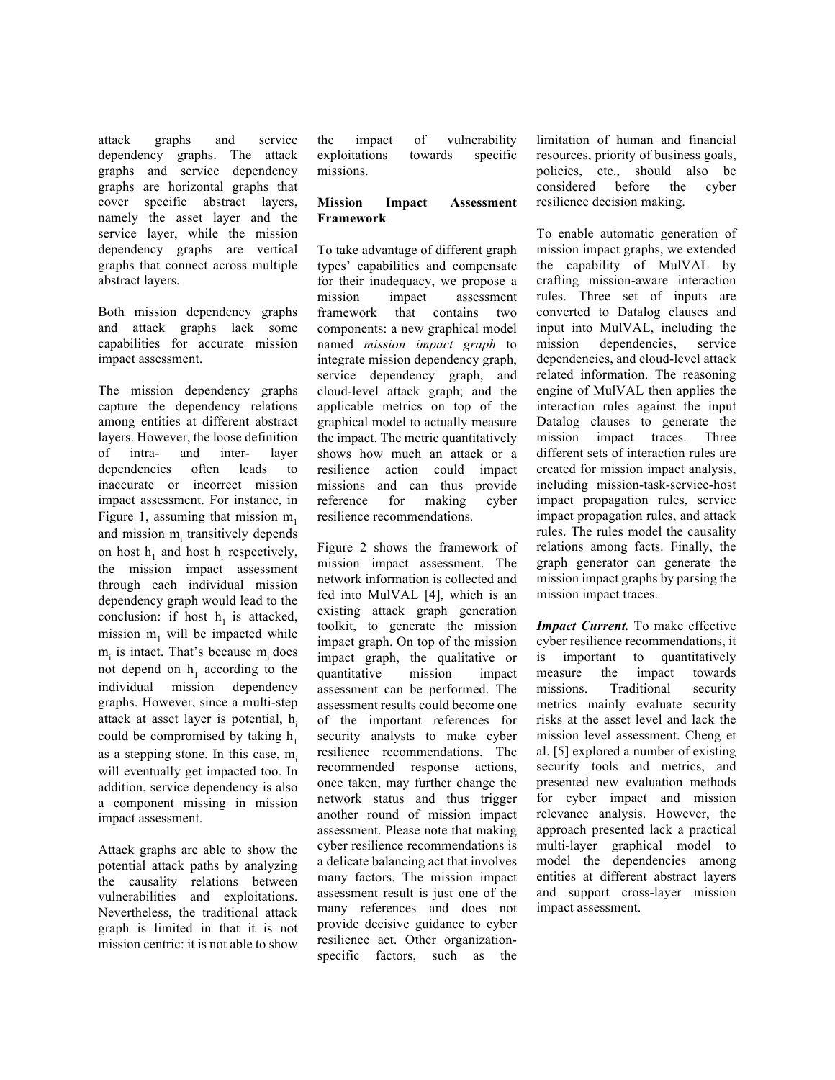attack dependency graphs. The attack graphs are horizontal graphs that cover specific abstract layers, namely the asset layer and the service layer, while the mission dependency graphs are vertical graphs that connect across multiple abstract layers. graphs and service graphs and service dependency

 Both mission dependency graphs and attack graphs lack some capabilities for accurate mission impact assessment.

 The mission dependency graphs capture the dependency relations among entities at different abstract layers. However, the loose definition dependencies often leads to inaccurate or incorrect mission impact assessment. For instance, in Figure 1, assuming that mission  $m_1$ and mission  $m<sub>i</sub>$  transitively depends on host  $h_1$  and host  $h_i$  respectively, the mission impact assessment through each individual mission conclusion: if host  $h_1$  is attacked, mission  $m_1$  will be impacted while  $m<sub>i</sub>$  is intact. That's because  $m<sub>i</sub>$  does not depend on  $h_1$  according to the graphs. However, since a multi-step attack at asset layer is potential,  $h_i$ could be compromised by taking  $h_1$ as a stepping stone. In this case,  $m<sub>i</sub>$  will eventually get impacted too. In addition, service dependency is also a component missing in mission of intra- and inter- layer dependency graph would lead to the individual mission dependency impact assessment.

 Attack graphs are able to show the the causality relations between vulnerabilities and exploitations. Nevertheless, the traditional attack graph is limited in that it is not mission centric: it is not able to show potential attack paths by analyzing

 exploitations towards specific the impact of vulnerability missions.

#### **Mission Impact Assessment Framework**

 To take advantage of different graph types' capabilities and compensate mission framework that contains two components: a new graphical model  named *mission impact graph* to integrate mission dependency graph, service dependency graph, and applicable metrics on top of the graphical model to actually measure the impact. The metric quantitatively shows how much an attack or a resilience missions and can thus provide resilience recommendations. for their inadequacy, we propose a impact assessment cloud-level attack graph; and the action could impact reference for making cyber

 Figure 2 shows the framework of mission impact assessment. The fed into MulVAL [4], which is an existing attack graph generation toolkit, to generate the mission impact graph. On top of the mission impact graph, the qualitative or assessment can be performed. The assessment results could become one of the important references for security analysts to make cyber recommended response actions, once taken, may further change the network status and thus trigger another round of mission impact assessment. Please note that making a delicate balancing act that involves many factors. The mission impact assessment result is just one of the provide decisive guidance to cyber specific factors, such as the network information is collected and quantitative mission impact resilience recommendations. The cyber resilience recommendations is many references and does not resilience act. Other organization-

 limitation of human and financial resources, priority of business goals, policies, etc., should also be resilience decision making. considered before the cyber

 To enable automatic generation of mission impact graphs, we extended the capability of MulVAL by rules. Three set of inputs are converted to Datalog clauses and input into MulVAL, including the mission dependencies, service related information. The reasoning engine of MulVAL then applies the interaction rules against the input Datalog clauses to generate the mission impact traces. Three different sets of interaction rules are created for mission impact analysis, impact propagation rules, and attack rules. The rules model the causality relations among facts. Finally, the graph generator can generate the mission impact graphs by parsing the mission impact traces. crafting mission-aware interaction dependencies, and cloud-level attack including mission-task-service-host impact propagation rules, service

 *Impact Current.* To make effective cyber resilience recommendations, it measure missions. Traditional security metrics mainly evaluate security risks at the asset level and lack the mission level assessment. Cheng et al. [5] explored a number of existing security tools and metrics, and for cyber impact and mission relevance analysis. However, the approach presented lack a practical model the dependencies among entities at different abstract layers and support cross-layer mission is important to quantitatively the impact towards presented new evaluation methods multi-layer graphical model to impact assessment.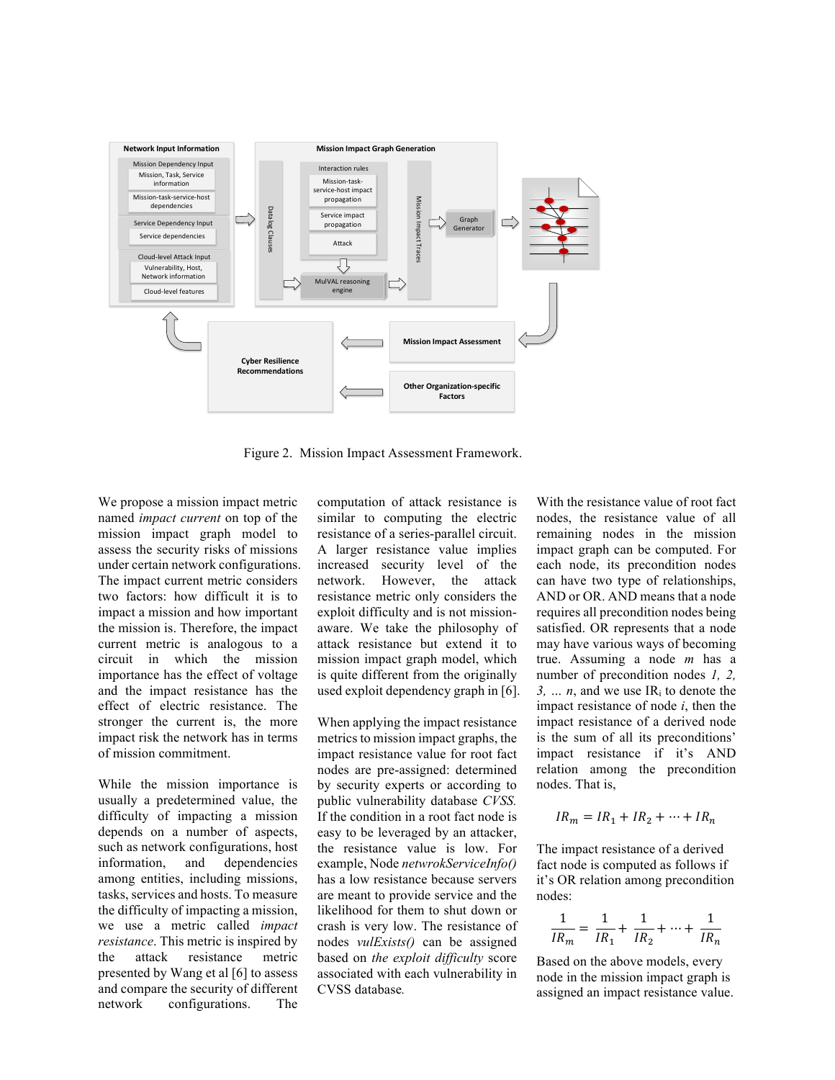

Figure 2. Mission Impact Assessment Framework.

 We propose a mission impact metric named *impact current* on top of the mission impact graph model to assess the security risks of missions The impact current metric considers two factors: how difficult it is to impact a mission and how important the mission is. Therefore, the impact current metric is analogous to a circuit in which the mission importance has the effect of voltage and the impact resistance has the effect of electric resistance. The stronger the current is, the more impact risk the network has in terms under certain network configurations. of mission commitment.

 While the mission importance is usually a predetermined value, the depends on a number of aspects, among entities, including missions, tasks, services and hosts. To measure the difficulty of impacting a mission, we use a metric called *impact resistance*. This metric is inspired by the presented by Wang et al [6] to assess and compare the security of different network configurations. The difficulty of impacting a mission such as network configurations, host information, and dependencies attack resistance metric

 similar to computing the electric resistance of a series-parallel circuit. A larger resistance value implies increased security level of the network. However, the attack resistance metric only considers the exploit difficulty and is not mission- aware. We take the philosophy of mission impact graph model, which is quite different from the originally computation of attack resistance is attack resistance but extend it to used exploit dependency graph in [6].

 When applying the impact resistance metrics to mission impact graphs, the impact resistance value for root fact nodes are pre-assigned: determined by security experts or according to If the condition in a root fact node is easy to be leveraged by an attacker, the resistance value is low. For has a low resistance because servers are meant to provide service and the likelihood for them to shut down or crash is very low. The resistance of associated with each vulnerability in CVSS database. public vulnerability database *CVSS.*  example, Node *netwrokServiceInfo()*  nodes *vulExists()* can be assigned based on *the exploit difficulty* score

With the resistance value of root fact nodes, the resistance value of all remaining nodes in the mission impact graph can be computed. For each node, its precondition nodes can have two type of relationships, AND or OR. AND means that a node requires all precondition nodes being satisfied. OR represents that a node may have various ways of becoming true. Assuming a node *m* has a number of precondition nodes *1, 2,*   $3, \ldots, n$ , and we use IR<sub>i</sub> to denote the impact resistance of node *i*, then the impact resistance of a derived node is the sum of all its preconditions' impact resistance if it's AND relation among the precondition nodes. That is, computation of attack resistance is With the resistance value of root fact<br>estimalize to computing the electric modes, the resistance value of all<br>ersistance of a series-parallel circuit. remaining nodes in the mission<br>A

$$
IR_m = IR_1 + IR_2 + \dots + IR_n
$$

 The impact resistance of a derived fact node is computed as follows if it's OR relation among precondition nodes:

$$
\frac{1}{IR_m} = \frac{1}{IR_1} + \frac{1}{IR_2} + \dots + \frac{1}{IR_n}
$$

 Based on the above models, every node in the mission impact graph is assigned an impact resistance value.